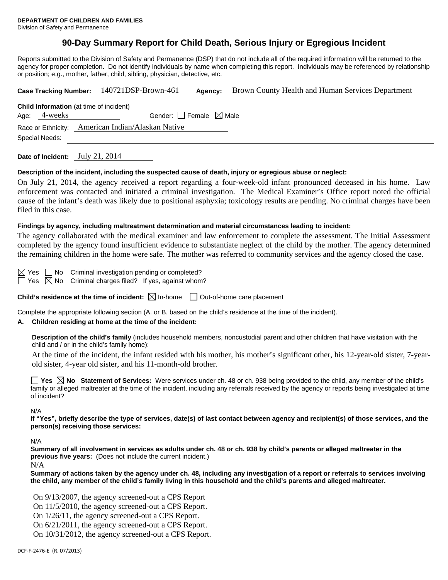# **90-Day Summary Report for Child Death, Serious Injury or Egregious Incident**

Reports submitted to the Division of Safety and Permanence (DSP) that do not include all of the required information will be returned to the agency for proper completion. Do not identify individuals by name when completing this report. Individuals may be referenced by relationship or position; e.g., mother, father, child, sibling, physician, detective, etc.

|                                                |              | Brown County Health and Human Services Department<br>Case Tracking Number: 140721DSP-Brown-461<br>Agency: |  |  |  |  |
|------------------------------------------------|--------------|-----------------------------------------------------------------------------------------------------------|--|--|--|--|
| <b>Child Information</b> (at time of incident) |              |                                                                                                           |  |  |  |  |
|                                                | Age: 4-weeks | Gender: Female $\boxtimes$ Male                                                                           |  |  |  |  |
|                                                |              | Race or Ethnicity: American Indian/Alaskan Native                                                         |  |  |  |  |
| Special Needs:                                 |              |                                                                                                           |  |  |  |  |
|                                                |              |                                                                                                           |  |  |  |  |

**Date of Incident:** July 21, 2014

### **Description of the incident, including the suspected cause of death, injury or egregious abuse or neglect:**

On July 21, 2014, the agency received a report regarding a four-week-old infant pronounced deceased in his home. Law enforcement was contacted and initiated a criminal investigation. The Medical Examiner's Office report noted the official cause of the infant's death was likely due to positional asphyxia; toxicology results are pending. No criminal charges have been filed in this case.

### **Findings by agency, including maltreatment determination and material circumstances leading to incident:**

The agency collaborated with the medical examiner and law enforcement to complete the assessment. The Initial Assessment completed by the agency found insufficient evidence to substantiate neglect of the child by the mother. The agency determined the remaining children in the home were safe. The mother was referred to community services and the agency closed the case.

 $\boxtimes$  Yes  $\Box$  No Criminal investigation pending or completed?

Yes  $\boxtimes$  No Criminal charges filed? If yes, against whom?

**Child's residence at the time of incident:**  $\boxtimes$  In-home  $\Box$  Out-of-home care placement

Complete the appropriate following section (A. or B. based on the child's residence at the time of the incident).

# **A. Children residing at home at the time of the incident:**

**Description of the child's family** (includes household members, noncustodial parent and other children that have visitation with the child and / or in the child's family home):

 At the time of the incident, the infant resided with his mother, his mother's significant other, his 12-year-old sister, 7-yearold sister, 4-year old sister, and his 11-month-old brother.

**Yes No Statement of Services:** Were services under ch. 48 or ch. 938 being provided to the child, any member of the child's family or alleged maltreater at the time of the incident, including any referrals received by the agency or reports being investigated at time of incident?

N/A

**If "Yes", briefly describe the type of services, date(s) of last contact between agency and recipient(s) of those services, and the person(s) receiving those services:** 

N/A

**Summary of all involvement in services as adults under ch. 48 or ch. 938 by child's parents or alleged maltreater in the previous five years:** (Does not include the current incident.)

N/A

**Summary of actions taken by the agency under ch. 48, including any investigation of a report or referrals to services involving the child, any member of the child's family living in this household and the child's parents and alleged maltreater.**

On 9/13/2007, the agency screened-out a CPS Report On 11/5/2010, the agency screened-out a CPS Report. On 1/26/11, the agency screened-out a CPS Report. On 6/21/2011, the agency screened-out a CPS Report. On 10/31/2012, the agency screened-out a CPS Report.